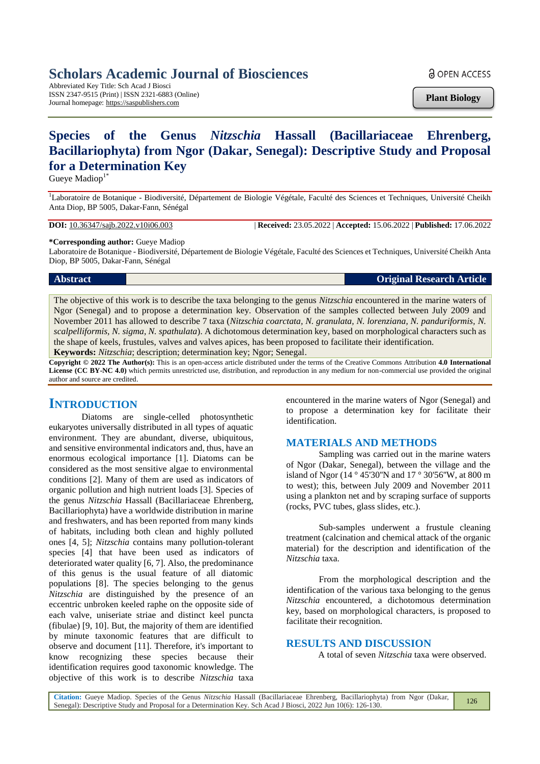# **Scholars Academic Journal of Biosciences**

Abbreviated Key Title: Sch Acad J Biosci ISSN 2347-9515 (Print) | ISSN 2321-6883 (Online) Journal homepage: https://saspublishers.com

**a** OPEN ACCESS

**Plant Biology**

# **Species of the Genus** *Nitzschia* **Hassall (Bacillariaceae Ehrenberg, Bacillariophyta) from Ngor (Dakar, Senegal): Descriptive Study and Proposal for a Determination Key**

Gueye Madiop<sup>1\*</sup>

<sup>1</sup>Laboratoire de Botanique - Biodiversité, Département de Biologie Végétale, Faculté des Sciences et Techniques, Université Cheikh Anta Diop, BP 5005, Dakar-Fann, Sénégal

**DOI:** 10.36347/sajb.2022.v10i06.003 | **Received:** 23.05.2022 | **Accepted:** 15.06.2022 | **Published:** 17.06.2022

**\*Corresponding author:** Gueye Madiop

Laboratoire de Botanique - Biodiversité, Département de Biologie Végétale, Faculté des Sciences et Techniques, Université Cheikh Anta Diop, BP 5005, Dakar-Fann, Sénégal

## **Abstract Original Research Article**

The objective of this work is to describe the taxa belonging to the genus *Nitzschia* encountered in the marine waters of Ngor (Senegal) and to propose a determination key. Observation of the samples collected between July 2009 and November 2011 has allowed to describe 7 taxa (*Nitzschia coarctata, N. granulata, N. lorenziana, N. panduriformis, N. scalpelliformis, N. sigma, N. spathulata*). A dichotomous determination key, based on morphological characters such as the shape of keels, frustules, valves and valves apices, has been proposed to facilitate their identification.

**Keywords:** *Nitzschia*; description; determination key; Ngor; Senegal.

**Copyright © 2022 The Author(s):** This is an open-access article distributed under the terms of the Creative Commons Attribution **4.0 International License (CC BY-NC 4.0)** which permits unrestricted use, distribution, and reproduction in any medium for non-commercial use provided the original author and source are credited.

## **INTRODUCTION**

Diatoms are single-celled photosynthetic eukaryotes universally distributed in all types of aquatic environment. They are abundant, diverse, ubiquitous, and sensitive environmental indicators and, thus, have an enormous ecological importance [1]. Diatoms can be considered as the most sensitive algae to environmental conditions [2]. Many of them are used as indicators of organic pollution and high nutrient loads [3]. Species of the genus *Nitzschia* Hassall (Bacillariaceae Ehrenberg, Bacillariophyta) have a worldwide distribution in marine and freshwaters, and has been reported from many kinds of habitats, including both clean and highly polluted ones [4, 5]; *Nitzschia* contains many pollution-tolerant species [4] that have been used as indicators of deteriorated water quality [6, 7]. Also, the predominance of this genus is the usual feature of all diatomic populations [8]. The species belonging to the genus *Nitzschia* are distinguished by the presence of an eccentric unbroken keeled raphe on the opposite side of each valve, uniseriate striae and distinct keel puncta (fibulae) [9, 10]. But, the majority of them are identified by minute taxonomic features that are difficult to observe and document [11]. Therefore, it's important to know recognizing these species because their identification requires good taxonomic knowledge. The objective of this work is to describe *Nitzschia* taxa

encountered in the marine waters of Ngor (Senegal) and to propose a determination key for facilitate their identification.

## **MATERIALS AND METHODS**

Sampling was carried out in the marine waters of Ngor (Dakar, Senegal), between the village and the island of Ngor (14 ° 45'30''N and 17 ° 30'56''W, at 800 m to west); this, between July 2009 and November 2011 using a plankton net and by scraping surface of supports (rocks, PVC tubes, glass slides, etc.).

Sub-samples underwent a frustule cleaning treatment (calcination and chemical attack of the organic material) for the description and identification of the *Nitzschia* taxa.

From the morphological description and the identification of the various taxa belonging to the genus *Nitzschia* encountered, a dichotomous determination key, based on morphological characters, is proposed to facilitate their recognition.

## **RESULTS AND DISCUSSION**

A total of seven *Nitzschia* taxa were observed.

**Citation:** Gueye Madiop. Species of the Genus *Nitzschia* Hassall (Bacillariaceae Ehrenberg, Bacillariophyta) from Ngor (Dakar, Senegal): Descriptive Study and Proposal for a Determination Key. Sch Acad J Biosci, 2022 Jun 10(6): 126-130. 126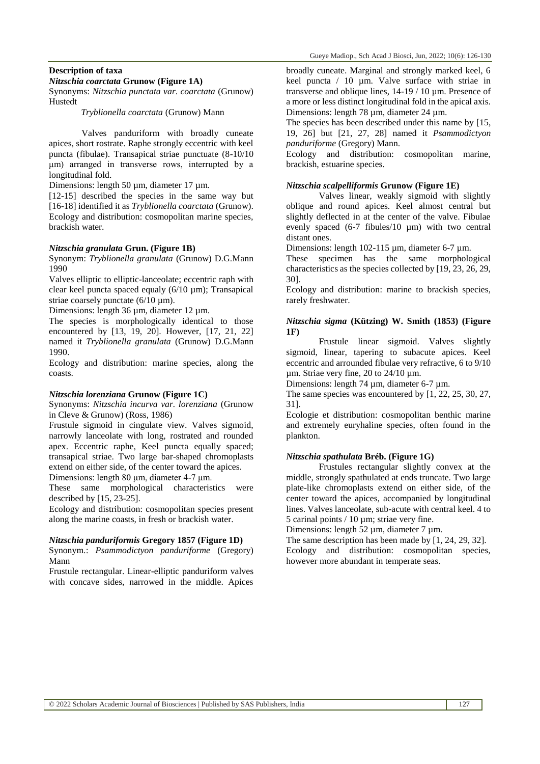## **Description of taxa**

#### *Nitzschia coarctata* **Grunow (Figure 1A)**

Synonyms: *Nitzschia punctata var*. *coarctata* (Grunow) Hustedt

*Tryblionella coarctata* (Grunow) Mann

Valves panduriform with broadly cuneate apices, short rostrate. Raphe strongly eccentric with keel puncta (fibulae). Transapical striae punctuate (8-10/10 μm) arranged in transverse rows, interrupted by a longitudinal fold.

Dimensions: length 50 µm, diameter 17 µm.

[12-15] described the species in the same way but [16-18] identified it as *Tryblionella coarctata* (Grunow). Ecology and distribution: cosmopolitan marine species, brackish water.

#### *Nitzschia granulata* **Grun. (Figure 1B)**

Synonym: *Tryblionella granulata* (Grunow) D.G.Mann 1990

Valves elliptic to elliptic-lanceolate; eccentric raph with clear keel puncta spaced equaly (6/10 µm); Transapical striae coarsely punctate  $(6/10 \text{ µm})$ .

Dimensions: length 36 µm, diameter 12 µm.

The species is morphologically identical to those encountered by [13, 19, 20]. However, [17, 21, 22] named it *Tryblionella granulata* (Grunow) D.G.Mann 1990.

Ecology and distribution: marine species, along the coasts.

#### *Nitzschia lorenziana* **Grunow (Figure 1C)**

Synonyms: *Nitzschia incurva var. lorenziana* (Grunow in Cleve & Grunow) (Ross, 1986)

Frustule sigmoid in cingulate view. Valves sigmoid, narrowly lanceolate with long, rostrated and rounded apex. Eccentric raphe, Keel puncta equally spaced; transapical striae. Two large bar-shaped chromoplasts extend on either side, of the center toward the apices. Dimensions: length 80 μm, diameter 4-7 μm.

These same morphological characteristics were described by [15, 23-25].

Ecology and distribution: cosmopolitan species present along the marine coasts, in fresh or brackish water.

#### *Nitzschia panduriformis* **Gregory 1857 (Figure 1D)**

Synonym.: *Psammodictyon panduriforme* (Gregory) Mann

Frustule rectangular. Linear-elliptic panduriform valves with concave sides, narrowed in the middle. Apices

broadly cuneate. Marginal and strongly marked keel, 6 keel puncta / 10 µm. Valve surface with striae in transverse and oblique lines, 14-19 / 10 µm. Presence of a more or less distinct longitudinal fold in the apical axis. Dimensions: length 78 µm, diameter 24 µm.

The species has been described under this name by [15, 19, 26] but [21, 27, 28] named it *Psammodictyon panduriforme* (Gregory) Mann.

Ecology and distribution: cosmopolitan marine, brackish, estuarine species.

#### *Nitzschia scalpelliformis* **Grunow (Figure 1E)**

Valves linear, weakly sigmoid with slightly oblique and round apices. Keel almost central but slightly deflected in at the center of the valve. Fibulae evenly spaced (6-7 fibules/10 µm) with two central distant ones.

Dimensions: length 102-115 µm, diameter 6-7 µm.

These specimen has the same morphological characteristics as the species collected by [19, 23, 26, 29, 30].

Ecology and distribution: marine to brackish species, rarely freshwater.

### *Nitzschia sigma* **(Kützing) W. Smith (1853) (Figure 1F)**

Frustule linear sigmoid. Valves slightly sigmoid, linear, tapering to subacute apices. Keel eccentric and arrounded fibulae very refractive, 6 to 9/10 µm. Striae very fine, 20 to 24/10 µm.

Dimensions: length 74 um, diameter 6-7 um.

The same species was encountered by [1, 22, 25, 30, 27, 31].

Ecologie et distribution: cosmopolitan benthic marine and extremely euryhaline species, often found in the plankton.

#### *Nitzschia spathulata* **Bréb. (Figure 1G)**

Frustules rectangular slightly convex at the middle, strongly spathulated at ends truncate. Two large plate-like chromoplasts extend on either side, of the center toward the apices, accompanied by longitudinal lines. Valves lanceolate, sub-acute with central keel. 4 to 5 carinal points / 10 µm; striae very fine.

Dimensions: length 52 µm, diameter 7 µm.

The same description has been made by [1, 24, 29, 32]. Ecology and distribution: cosmopolitan species, however more abundant in temperate seas.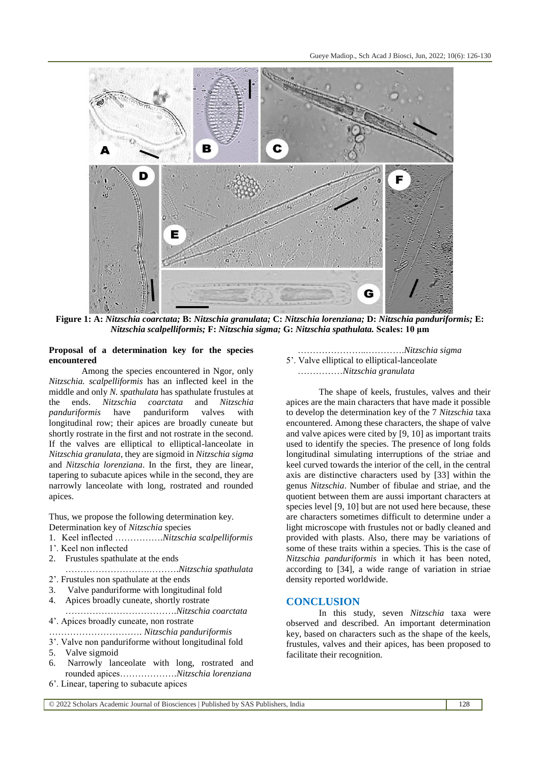

**Figure 1: A:** *Nitzschia coarctata;* **B:** *Nitzschia granulata;* **C:** *Nitzschia lorenziana;* **D:** *Nitzschia panduriformis;* **E:** *Nitzschia scalpelliformis;* **F:** *Nitzschia sigma;* **G:** *Nitzschia spathulata.* **Scales: 10 μm**

#### **Proposal of a determination key for the species encountered**

Among the species encountered in Ngor, only *Nitzschia. scalpelliformis* has an inflected keel in the middle and only *N. spathulata* has spathulate frustules at the ends. *Nitzschia coarctata* and *Nitzschia panduriformis* have panduriform valves with longitudinal row; their apices are broadly cuneate but shortly rostrate in the first and not rostrate in the second. If the valves are elliptical to elliptical-lanceolate in *Nitzschia granulata*, they are sigmoid in *Nitzschia sigma*  and *Nitzschia lorenziana*. In the first, they are linear, tapering to subacute apices while in the second, they are narrowly lanceolate with long, rostrated and rounded apices.

Thus, we propose the following determination key. Determination key of *Nitzschia* species

- 1. Keel inflected …………….*Nitzschia scalpelliformis*
- 1'. Keel non inflected
- 2. Frustules spathulate at the ends
- ……………………….……….*Nitzschia spathulata* 2'. Frustules non spathulate at the ends
- 3. Valve panduriforme with longitudinal fold
- 4. Apices broadly cuneate, shortly rostrate
- ……………………………….*Nitzschia coarctata* 4'. Apices broadly cuneate, non rostrate
- …………………………. *Nitzschia panduriformis*
- 3'. Valve non panduriforme without longitudinal fold
- 5. Valve sigmoid
- 6. Narrowly lanceolate with long, rostrated and rounded apices……………….*Nitzschia lorenziana*
- 6'. Linear, tapering to subacute apices

#### …………………..………….*Nitzschia sigma* 5'. Valve elliptical to elliptical-lanceolate ……………*Nitzschia granulata*

The shape of keels, frustules, valves and their apices are the main characters that have made it possible to develop the determination key of the 7 *Nitzschia* taxa encountered. Among these characters, the shape of valve and valve apices were cited by [9, 10] as important traits used to identify the species. The presence of long folds longitudinal simulating interruptions of the striae and keel curved towards the interior of the cell, in the central axis are distinctive characters used by [33] within the genus *Nitzschia*. Number of fibulae and striae, and the quotient between them are aussi important characters at species level [9, 10] but are not used here because, these are characters sometimes difficult to determine under a light microscope with frustules not or badly cleaned and provided with plasts. Also, there may be variations of some of these traits within a species. This is the case of *Nitzschia panduriformis* in which it has been noted, according to [34], a wide range of variation in striae density reported worldwide.

## **CONCLUSION**

In this study, seven *Nitzschia* taxa were observed and described. An important determination key, based on characters such as the shape of the keels, frustules, valves and their apices, has been proposed to facilitate their recognition.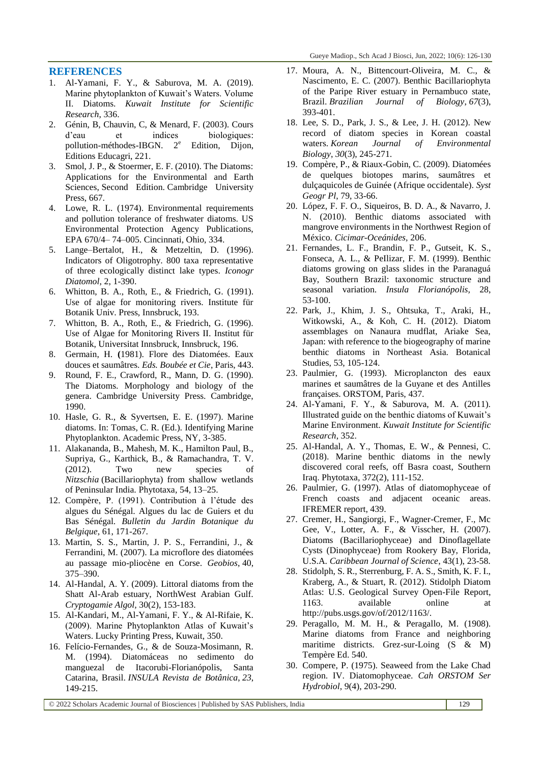## **REFERENCES**

- 1. Al-Yamani, F. Y., & Saburova, M. A. (2019). Marine phytoplankton of Kuwait's Waters. Volume II. Diatoms. *Kuwait Institute for Scientific Research*, 336.
- 2. Génin, B, Chauvin, C, & Menard, F. (2003). Cours d'eau et indices biologiques: pollution-méthodes-IBGN. 2<sup>e</sup> Edition, Dijon, Editions Educagri, 221.
- 3. Smol, J. P., & Stoermer, E. F. (2010). The Diatoms: Applications for the Environmental and Earth Sciences, Second Edition. Cambridge University Press, 667.
- 4. Lowe, R. L. (1974). Environmental requirements and pollution tolerance of freshwater diatoms. US Environmental Protection Agency Publications, EPA 670/4– 74–005. Cincinnati, Ohio, 334.
- 5. Lange–Bertalot, H., & Metzeltin, D. (1996). Indicators of Oligotrophy. 800 taxa representative of three ecologically distinct lake types. *Iconogr Diatomol*, 2, 1-390.
- 6. Whitton, B. A., Roth, E., & Friedrich, G. (1991). Use of algae for monitoring rivers. Institute für Botanik Univ. Press, Innsbruck, 193.
- 7. Whitton, B. A., Roth, E., & Friedrich, G. (1996). Use of Algae for Monitoring Rivers II. Institut für Botanik, Universitat Innsbruck, Innsbruck, 196.
- 8. Germain, H. **(**1981). Flore des Diatomées. Eaux douces et saumâtres. *Eds. Boubée et Cie*, Paris, 443.
- 9. Round, F. E., Crawford, R., Mann, D. G. (1990). The Diatoms. Morphology and biology of the genera. Cambridge University Press. Cambridge, 1990.
- 10. Hasle, G. R., & Syvertsen, E. E. (1997). Marine diatoms. In: Tomas, C. R. (Ed.). Identifying Marine Phytoplankton. Academic Press, NY, 3-385.
- 11. Alakananda, B., Mahesh, M. K., Hamilton Paul, B., Supriya, G., Karthick, B., & Ramachandra, T. V. (2012). Two new species of *Nitzschia* (Bacillariophyta) from shallow wetlands of Peninsular India. Phytotaxa*,* 54, 13–25.
- 12. Compère, P. (1991). Contribution à l'étude des algues du Sénégal. Algues du lac de Guiers et du Bas Sénégal. *Bulletin du Jardin Botanique du Belgique*, 61, 171-267.
- 13. Martin, S. S., Martin, J. P. S., Ferrandini, J., & Ferrandini, M. (2007). La microflore des diatomées au passage mio-pliocène en Corse. *Geobios*, 40, 375–390.
- 14. Al-Handal, A. Y. (2009). Littoral diatoms from the Shatt Al-Arab estuary, NorthWest Arabian Gulf. *Cryptogamie Algol,* 30(2), 153-183.
- 15. Al-Kandari, M., Al-Yamani, F. Y., & Al-Rifaie, K. (2009). Marine Phytoplankton Atlas of Kuwait's Waters. Lucky Printing Press, Kuwait, 350.
- 16. Felício-Fernandes, G., & de Souza-Mosimann, R. M. (1994). Diatomáceas no sedimento do manguezal de Itacorubi-Florianópolis, Santa Catarina, Brasil. *INSULA Revista de Botânica*, *23*, 149-215.
- 17. Moura, A. N., Bittencourt-Oliveira, M. C., & Nascimento, E. C. (2007). Benthic Bacillariophyta of the Paripe River estuary in Pernambuco state, Brazil. *Brazilian Journal of Biology*, *67*(3), 393-401.
- 18. Lee, S. D., Park, J. S., & Lee, J. H. (2012). New record of diatom species in Korean coastal waters. *Korean Journal of Environmental Biology*, *30*(3), 245-271.
- 19. Compère, P., & Riaux-Gobin, C. (2009). Diatomées de quelques biotopes marins, saumâtres et dulçaquicoles de Guinée (Afrique occidentale). *Syst Geogr Pl*, 79, 33-66.
- 20. López, F. F. O., Siqueiros, B. D. A., & Navarro, J. N. (2010). Benthic diatoms associated with mangrove environments in the Northwest Region of México. *Cicimar-Oceánides,* 206.
- 21. Fernandes, L. F., Brandin, F. P., Gutseit, K. S., Fonseca, A. L., & PeIlizar, F. M. (1999). Benthic diatoms growing on glass slides in the Paranaguá Bay, Southern Brazil: taxonomic structure and seasonal variation. *Insula Florianópolis,* 28, 53-100.
- 22. Park, J., Khim, J. S., Ohtsuka, T., Araki, H., Witkowski, A., & Koh, C. H. (2012). Diatom assemblages on Nanaura mudflat, Ariake Sea, Japan: with reference to the biogeography of marine benthic diatoms in Northeast Asia. Botanical Studies, 53, 105-124.
- 23. Paulmier, G. (1993). Microplancton des eaux marines et saumâtres de la Guyane et des Antilles françaises. ORSTOM, Paris, 437.
- 24. Al-Yamani, F. Y., & Saburova, M. A. (2011). Illustrated guide on the benthic diatoms of Kuwait's Marine Environment. *Kuwait Institute for Scientific Research*, 352.
- 25. Al-Handal, A. Y., Thomas, E. W., & Pennesi, C. (2018). Marine benthic diatoms in the newly discovered coral reefs, off Basra coast, Southern Iraq. Phytotaxa*,* 372(2), 111-152.
- 26. Paulmier, G. (1997). Atlas of diatomophyceae of French coasts and adjacent oceanic areas. IFREMER report, 439.
- 27. Cremer, H., Sangiorgi, F., Wagner-Cremer, F., Mc Gee, V., Lotter, A. F., & Visscher, H. (2007). Diatoms (Bacillariophyceae) and Dinoflagellate Cysts (Dinophyceae) from Rookery Bay, Florida, U.S.A. *Caribbean Journal of Science*, 43(1), 23-58.
- 28. Stidolph, S. R., Sterrenburg, F. A. S., Smith, K. F. I., Kraberg, A., & Stuart, R. (2012). Stidolph Diatom Atlas: U.S. Geological Survey Open-File Report, 1163. available online at http://pubs.usgs.gov/of/2012/1163/.
- 29. Peragallo, M. M. H., & Peragallo, M. (1908). Marine diatoms from France and neighboring maritime districts. Grez-sur-Loing (S & M) Tempère Ed. 540.
- 30. Compere, P. (1975). Seaweed from the Lake Chad region. IV. Diatomophyceae. *Cah ORSTOM Ser Hydrobiol*, 9(4), 203-290.

© 2022 Scholars Academic Journal of Biosciences | Published by SAS Publishers, India 129